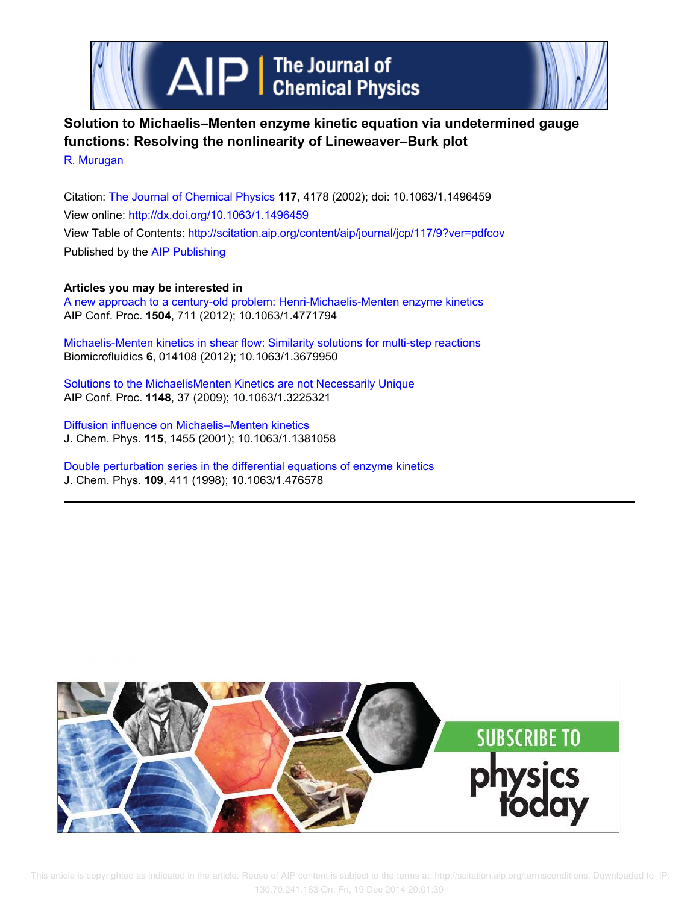



# **Solution to Michaelis–Menten enzyme kinetic equation via undetermined gauge functions: Resolving the nonlinearity of Lineweaver–Burk plot**

R. Murugan

Citation: The Journal of Chemical Physics **117**, 4178 (2002); doi: 10.1063/1.1496459 View online: http://dx.doi.org/10.1063/1.1496459 View Table of Contents: http://scitation.aip.org/content/aip/journal/jcp/117/9?ver=pdfcov Published by the AIP Publishing

## **Articles you may be interested in**

A new approach to a century-old problem: Henri-Michaelis-Menten enzyme kinetics AIP Conf. Proc. **1504**, 711 (2012); 10.1063/1.4771794

Michaelis-Menten kinetics in shear flow: Similarity solutions for multi-step reactions Biomicrofluidics **6**, 014108 (2012); 10.1063/1.3679950

Solutions to the MichaelisMenten Kinetics are not Necessarily Unique AIP Conf. Proc. **1148**, 37 (2009); 10.1063/1.3225321

Diffusion influence on Michaelis–Menten kinetics J. Chem. Phys. **115**, 1455 (2001); 10.1063/1.1381058

Double perturbation series in the differential equations of enzyme kinetics J. Chem. Phys. **109**, 411 (1998); 10.1063/1.476578

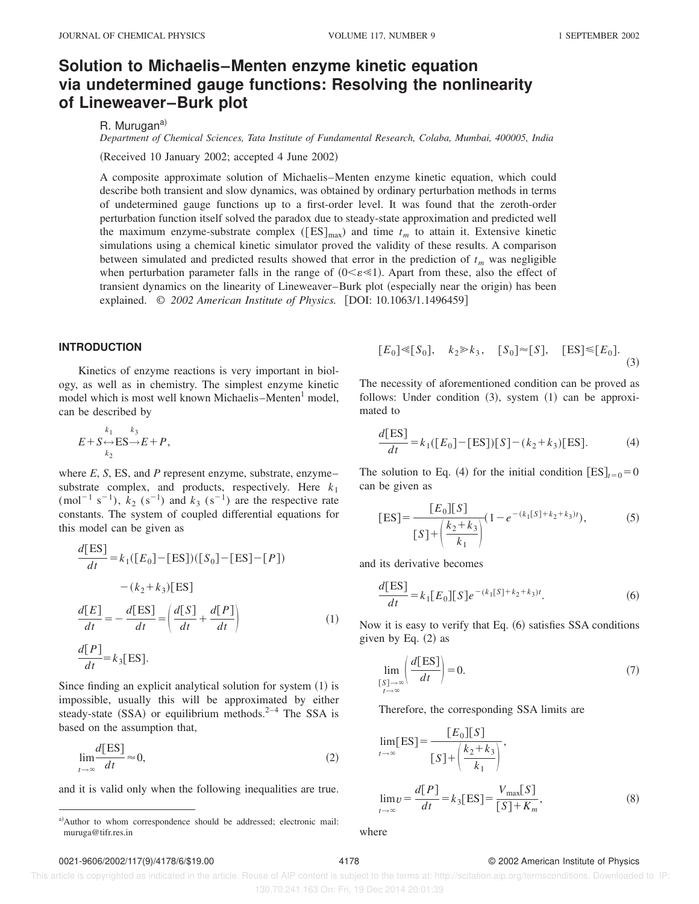## **Solution to Michaelis–Menten enzyme kinetic equation via undetermined gauge functions: Resolving the nonlinearity of Lineweaver–Burk plot**

R. Murugan<sup>a)</sup>

*Department of Chemical Sciences, Tata Institute of Fundamental Research, Colaba, Mumbai, 400005, India*

(Received 10 January 2002; accepted 4 June 2002)

A composite approximate solution of Michaelis–Menten enzyme kinetic equation, which could describe both transient and slow dynamics, was obtained by ordinary perturbation methods in terms of undetermined gauge functions up to a first-order level. It was found that the zeroth-order perturbation function itself solved the paradox due to steady-state approximation and predicted well the maximum enzyme-substrate complex ( $[ES]_{max}$ ) and time  $t_m$  to attain it. Extensive kinetic simulations using a chemical kinetic simulator proved the validity of these results. A comparison between simulated and predicted results showed that error in the prediction of  $t_m$  was negligible when perturbation parameter falls in the range of  $(0 \le \epsilon \le 1)$ . Apart from these, also the effect of transient dynamics on the linearity of Lineweaver–Burk plot (especially near the origin) has been explained. © 2002 American Institute of Physics. [DOI: 10.1063/1.1496459]

### **INTRODUCTION**

Kinetics of enzyme reactions is very important in biology, as well as in chemistry. The simplest enzyme kinetic model which is most well known Michaelis–Menten<sup>1</sup> model, can be described by

$$
E + S \underset{k_2}{\leftrightarrow} \text{ES} \underset{k_2}{\rightarrow} E + P,
$$

where *E*, *S*, ES, and *P* represent enzyme, substrate, enzyme– substrate complex, and products, respectively. Here  $k_1$ (mol<sup>-1</sup> s<sup>-1</sup>),  $k_2$  (s<sup>-1</sup>) and  $k_3$  (s<sup>-1</sup>) are the respective rate constants. The system of coupled differential equations for this model can be given as

$$
\frac{d[ES]}{dt} = k_1([E_0] - [ES])([S_0] - [ES] - [P])
$$

$$
- (k_2 + k_3)[ES]
$$

$$
\frac{d[E]}{dt} = -\frac{d[ES]}{dt} = \left(\frac{d[S]}{dt} + \frac{d[P]}{dt}\right)
$$
(1)
$$
\frac{d[P]}{dt} = k_3[ES].
$$

Since finding an explicit analytical solution for system  $(1)$  is impossible, usually this will be approximated by either steady-state  $(SSA)$  or equilibrium methods.<sup>2–4</sup> The SSA is based on the assumption that,

$$
\lim_{t \to \infty} \frac{d[ES]}{dt} \approx 0,\tag{2}
$$

and it is valid only when the following inequalities are true.

$$
[E_0] \ll [S_0], \quad k_2 \gg k_3, \quad [S_0] \approx [S], \quad [ES] \ll [E_0]. \tag{3}
$$

The necessity of aforementioned condition can be proved as follows: Under condition  $(3)$ , system  $(1)$  can be approximated to

$$
\frac{d[ES]}{dt} = k_1([E_0] - [ES])[S] - (k_2 + k_3)[ES].
$$
 (4)

The solution to Eq. (4) for the initial condition  $[ES]_{t=0} = 0$ can be given as

$$
[ES] = \frac{[E_0][S]}{[S] + \left(\frac{k_2 + k_3}{k_1}\right)} (1 - e^{-(k_1[S] + k_2 + k_3)t}),\tag{5}
$$

and its derivative becomes

$$
\frac{d[ES]}{dt} = k_1 [E_0] [S] e^{-(k_1 [S] + k_2 + k_3)t}.
$$
 (6)

Now it is easy to verify that Eq.  $(6)$  satisfies SSA conditions given by Eq.  $(2)$  as

$$
\lim_{\substack{[S] \to \infty \\ t \to \infty}} \left( \frac{d[ES]}{dt} \right) = 0.
$$
\n(7)

Therefore, the corresponding SSA limits are

$$
\lim_{t \to \infty} [ES] = \frac{[E_0][S]}{[S] + \left(\frac{k_2 + k_3}{k_1}\right)},
$$

$$
\lim_{t \to \infty} v = \frac{d[P]}{dt} = k_3[ES] = \frac{V_{\text{max}}[S]}{[S] + K_m},\tag{8}
$$

where

#### 0021-9606/2002/117(9)/4178/6/\$19.00 4178 © 2002 American Institute of Physics

 This article is copyrighted as indicated in the article. Reuse of AIP content is subject to the terms at: http://scitation.aip.org/termsconditions. Downloaded to IP: 130.70.241.163 On: Fri, 19 Dec 2014 20:01:39

a)Author to whom correspondence should be addressed; electronic mail: muruga@tifr.res.in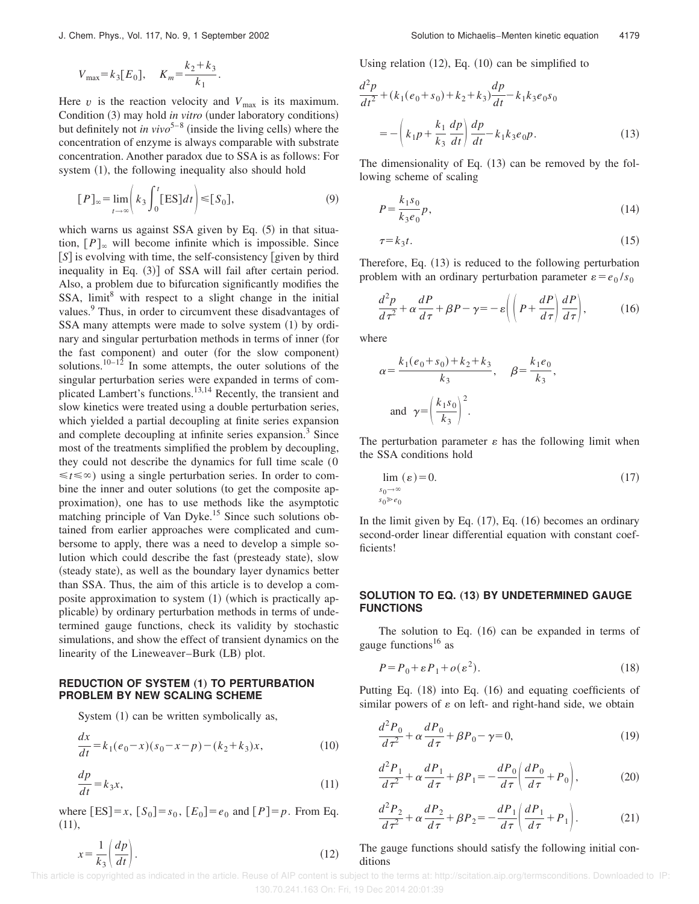$$
V_{\text{max}} = k_3 [E_0], \quad K_m = \frac{k_2 + k_3}{k_1}.
$$

Here  $v$  is the reaction velocity and  $V_{\text{max}}$  is its maximum. Condition (3) may hold *in vitro* (under laboratory conditions) but definitely not *in vivo*<sup>5–8</sup> (inside the living cells) where the concentration of enzyme is always comparable with substrate concentration. Another paradox due to SSA is as follows: For system  $(1)$ , the following inequality also should hold

$$
[P]_{\infty} = \lim_{t \to \infty} \left( k_3 \int_0^t [ES] dt \right) \leq [S_0], \tag{9}
$$

which warns us against SSA given by Eq.  $(5)$  in that situation,  $[P]_{\infty}$  will become infinite which is impossible. Since [S] is evolving with time, the self-consistency [given by third inequality in Eq.  $(3)$ ] of SSA will fail after certain period. Also, a problem due to bifurcation significantly modifies the SSA,  $\text{limit}^8$  with respect to a slight change in the initial values.<sup>9</sup> Thus, in order to circumvent these disadvantages of SSA many attempts were made to solve system  $(1)$  by ordinary and singular perturbation methods in terms of inner (for the fast component) and outer (for the slow component) solutions.<sup>10–12</sup> In some attempts, the outer solutions of the singular perturbation series were expanded in terms of complicated Lambert's functions.<sup>13,14</sup> Recently, the transient and slow kinetics were treated using a double perturbation series, which yielded a partial decoupling at finite series expansion and complete decoupling at infinite series expansion.<sup>3</sup> Since most of the treatments simplified the problem by decoupling, they could not describe the dynamics for full time scale (0  $\leq t \leq \infty$ ) using a single perturbation series. In order to combine the inner and outer solutions (to get the composite approximation), one has to use methods like the asymptotic matching principle of Van Dyke.<sup>15</sup> Since such solutions obtained from earlier approaches were complicated and cumbersome to apply, there was a need to develop a simple solution which could describe the fast (presteady state), slow (steady state), as well as the boundary layer dynamics better than SSA. Thus, the aim of this article is to develop a composite approximation to system  $(1)$  (which is practically applicable) by ordinary perturbation methods in terms of undetermined gauge functions, check its validity by stochastic simulations, and show the effect of transient dynamics on the linearity of the Lineweaver–Burk (LB) plot.

#### **REDUCTION OF SYSTEM (1) TO PERTURBATION PROBLEM BY NEW SCALING SCHEME**

System  $(1)$  can be written symbolically as,

 $x = \frac{1}{1}$  $rac{1}{k_3} \left( \frac{dp}{dt} \right)$ 

$$
\frac{dx}{dt} = k_1(e_0 - x)(s_0 - x - p) - (k_2 + k_3)x,\tag{10}
$$

$$
\frac{dp}{dt} = k_3 x,\tag{11}
$$

where  $[ES] = x$ ,  $[S_0] = s_0$ ,  $[E_0] = e_0$  and  $[P] = p$ . From Eq.  $(11),$ 

Using relation  $(12)$ , Eq.  $(10)$  can be simplified to

$$
\frac{d^2p}{dt^2} + (k_1(e_0 + s_0) + k_2 + k_3) \frac{dp}{dt} - k_1 k_3 e_0 s_0
$$

$$
= -\left(k_1 p + \frac{k_1}{k_3} \frac{dp}{dt}\right) \frac{dp}{dt} - k_1 k_3 e_0 p.
$$
(13)

The dimensionality of Eq.  $(13)$  can be removed by the following scheme of scaling

$$
P = \frac{k_1 s_0}{k_3 e_0} p,\tag{14}
$$

$$
\tau = k_3 t. \tag{15}
$$

Therefore, Eq.  $(13)$  is reduced to the following perturbation problem with an ordinary perturbation parameter  $\varepsilon = e_0/s_0$ 

$$
\frac{d^2p}{d\tau^2} + \alpha \frac{dP}{d\tau} + \beta P - \gamma = -\varepsilon \left( \left( P + \frac{dP}{d\tau} \right) \frac{dP}{d\tau} \right),\tag{16}
$$

where

*<sup>s</sup>*0→`

$$
\alpha = \frac{k_1(e_0 + s_0) + k_2 + k_3}{k_3}, \quad \beta = \frac{k_1 e_0}{k_3},
$$
  
and 
$$
\gamma = \left(\frac{k_1 s_0}{k_3}\right)^2.
$$

The perturbation parameter  $\varepsilon$  has the following limit when the SSA conditions hold

$$
\lim_{\substack{s_0 \to \infty \\ s_0 \gg e_0}} (\varepsilon) = 0. \tag{17}
$$

In the limit given by Eq.  $(17)$ , Eq.  $(16)$  becomes an ordinary second-order linear differential equation with constant coefficients!

### **SOLUTION TO EQ. (13) BY UNDETERMINED GAUGE FUNCTIONS**

The solution to Eq.  $(16)$  can be expanded in terms of gauge functions<sup>16</sup> as

$$
P = P_0 + \varepsilon P_1 + o(\varepsilon^2). \tag{18}
$$

Putting Eq.  $(18)$  into Eq.  $(16)$  and equating coefficients of similar powers of  $\varepsilon$  on left- and right-hand side, we obtain

$$
\frac{d^2P_0}{d\tau^2} + \alpha \frac{dP_0}{d\tau} + \beta P_0 - \gamma = 0,\tag{19}
$$

$$
\frac{d^2P_1}{d\tau^2} + \alpha \frac{dP_1}{d\tau} + \beta P_1 = -\frac{dP_0}{d\tau} \left( \frac{dP_0}{d\tau} + P_0 \right),\tag{20}
$$

$$
\frac{d^2P_2}{d\tau^2} + \alpha \frac{dP_2}{d\tau} + \beta P_2 = -\frac{dP_1}{d\tau} \left( \frac{dP_1}{d\tau} + P_1 \right). \tag{21}
$$

## The gauge functions should satisfy the following initial conditions

 This article is copyrighted as indicated in the article. Reuse of AIP content is subject to the terms at: http://scitation.aip.org/termsconditions. Downloaded to IP: 130.70.241.163 On: Fri, 19 Dec 2014 20:01:39

$$
\left(\frac{dp}{dt}\right). \tag{12}
$$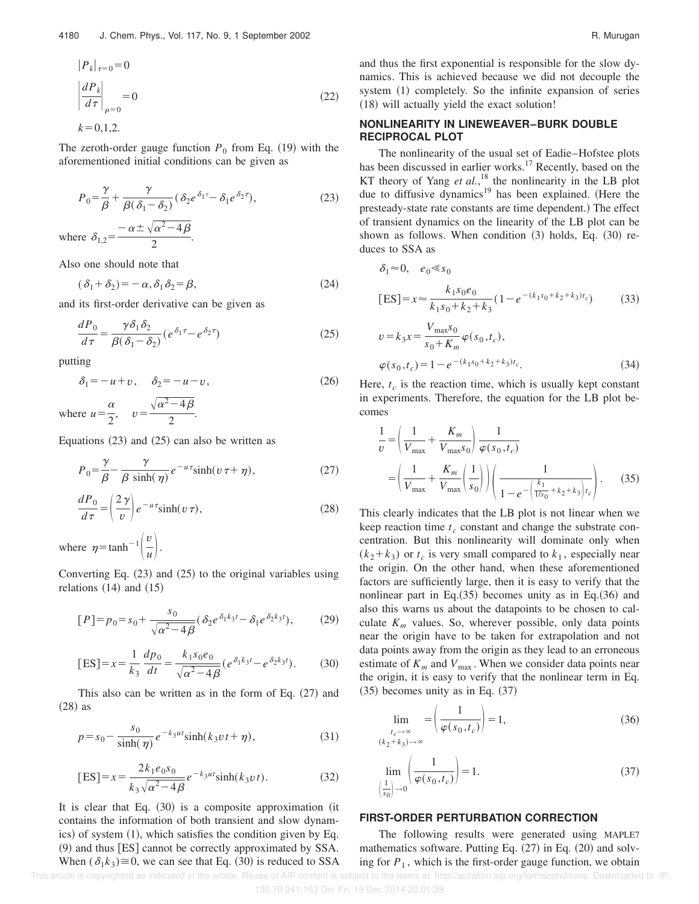$$
|P_k|_{\tau=0} = 0
$$
  
\n
$$
\left| \frac{dP_k}{d\tau} \right|_{\rho=0} = 0
$$
  
\n
$$
k = 0, 1, 2.
$$
\n(22)

The zeroth-order gauge function  $P_0$  from Eq. (19) with the aforementioned initial conditions can be given as

$$
P_0 = \frac{\gamma}{\beta} + \frac{\gamma}{\beta(\delta_1 - \delta_2)} (\delta_2 e^{\delta_1 \tau} - \delta_1 e^{\delta_2 \tau}),
$$
\nwhere

\n
$$
\delta_{1,2} = \frac{-\alpha \pm \sqrt{\alpha^2 - 4\beta}}{2}.
$$
\n(23)

Also one should note that

$$
(\delta_1 + \delta_2) = -\alpha, \delta_1 \delta_2 = \beta,
$$
\n(24)

and its first-order derivative can be given as

$$
\frac{dP_0}{d\tau} = \frac{\gamma \delta_1 \delta_2}{\beta(\delta_1 - \delta_2)} \left( e^{\delta_1 \tau} - e^{\delta_2 \tau} \right)
$$
(25)

putting

$$
\delta_1 = -u + v, \quad \delta_2 = -u - v,\tag{26}
$$

where  $u = \frac{\alpha}{2}$  $\frac{a}{2}$ ,  $v=$  $\sqrt{\alpha^2-4\beta}$  $\frac{1}{2}$ .

Equations  $(23)$  and  $(25)$  can also be written as

$$
P_0 = \frac{\gamma}{\beta} - \frac{\gamma}{\beta \sinh(\eta)} e^{-u\tau} \sinh(v\,\tau + \eta),\tag{27}
$$

$$
\frac{dP_0}{d\tau} = \left(\frac{2\gamma}{v}\right) e^{-u\tau} \sinh(v\,\tau),\tag{28}
$$

where  $\eta = \tanh^{-1} \left( \frac{v}{u} \right)$  $\frac{v}{u}$ .

Converting Eq.  $(23)$  and  $(25)$  to the original variables using relations  $(14)$  and  $(15)$ 

$$
[P] = p_0 = s_0 + \frac{s_0}{\sqrt{\alpha^2 - 4\beta}} (\delta_2 e^{\delta_1 k_3 t} - \delta_1 e^{\delta_2 k_3 t}), \quad (29)
$$

$$
[ES] = x = \frac{1}{k_3} \frac{dp_0}{dt} = \frac{k_1 s_0 e_0}{\sqrt{\alpha^2 - 4\beta}} (e^{\delta_1 k_3 t} - e^{\delta_2 k_3 t}).
$$
 (30)

This also can be written as in the form of Eq.  $(27)$  and  $(28)$  as

$$
p = s_0 - \frac{s_0}{\sinh(\eta)} e^{-k_3 ut} \sinh(k_3 vt + \eta),
$$
 (31)

$$
[ES] = x = \frac{2k_1e_0s_0}{k_3\sqrt{\alpha^2 - 4\beta}}e^{-k_3ut}\sinh(k_3vt). \tag{32}
$$

It is clear that Eq.  $(30)$  is a composite approximation (it contains the information of both transient and slow dynamics) of system  $(1)$ , which satisfies the condition given by Eq.  $(9)$  and thus [ES] cannot be correctly approximated by SSA. When  $(\delta_1 k_3) \cong 0$ , we can see that Eq. (30) is reduced to SSA and thus the first exponential is responsible for the slow dynamics. This is achieved because we did not decouple the system  $(1)$  completely. So the infinite expansion of series  $(18)$  will actually yield the exact solution!

#### **NONLINEARITY IN LINEWEAVER–BURK DOUBLE RECIPROCAL PLOT**

The nonlinearity of the usual set of Eadie–Hofstee plots has been discussed in earlier works.<sup>17</sup> Recently, based on the KT theory of Yang *et al.*,<sup>18</sup> the nonlinearity in the LB plot due to diffusive dynamics<sup>19</sup> has been explained. (Here the presteady-state rate constants are time dependent.) The effect of transient dynamics on the linearity of the LB plot can be shown as follows. When condition  $(3)$  holds, Eq.  $(30)$  reduces to SSA as

$$
\delta_1 \approx 0, \quad e_0 \ll s_0
$$
  
\n
$$
[ES] = x \approx \frac{k_1 s_0 e_0}{k_1 s_0 + k_2 + k_3} (1 - e^{-(k_1 s_0 + k_2 + k_3)t_c})
$$
\n
$$
V = 0. \tag{33}
$$

$$
v = k_3 x = \frac{V_{\text{max}} s_0}{s_0 + K_m} \varphi(s_0, t_c),
$$
  

$$
\varphi(s_0, t_c) = 1 - e^{-(k_1 s_0 + k_2 + k_3)t_c}.
$$
 (34)

Here,  $t_c$  is the reaction time, which is usually kept constant in experiments. Therefore, the equation for the LB plot becomes

$$
\frac{1}{\nu} = \left(\frac{1}{V_{\text{max}}} + \frac{K_m}{V_{\text{max}}s_0}\right) \frac{1}{\varphi(s_0, t_c)} \n= \left(\frac{1}{V_{\text{max}}} + \frac{K_m}{V_{\text{max}}} \left(\frac{1}{s_0}\right)\right) \left(\frac{1}{1 - e^{-\left(\frac{k_1}{1/s_0} + k_2 + k_3\right)t_c}}\right).
$$
\n(35)

This clearly indicates that the LB plot is not linear when we keep reaction time  $t_c$  constant and change the substrate concentration. But this nonlinearity will dominate only when  $(k_2 + k_3)$  or  $t_c$  is very small compared to  $k_1$ , especially near the origin. On the other hand, when these aforementioned factors are sufficiently large, then it is easy to verify that the nonlinear part in Eq. $(35)$  becomes unity as in Eq. $(36)$  and also this warns us about the datapoints to be chosen to calculate  $K<sub>m</sub>$  values. So, wherever possible, only data points near the origin have to be taken for extrapolation and not data points away from the origin as they lead to an erroneous estimate of  $K_m$  and  $V_{\text{max}}$ . When we consider data points near the origin, it is easy to verify that the nonlinear term in Eq.  $(35)$  becomes unity as in Eq.  $(37)$ 

$$
\lim_{\substack{t_c \to \infty \\ (k_2 + k_3) \to \infty}} = \left(\frac{1}{\varphi(s_0, t_c)}\right) = 1,\tag{36}
$$

$$
\lim_{\left(\frac{1}{s_0}\right)\to 0} \left(\frac{1}{\varphi(s_0, t_c)}\right) = 1.
$$
\n(37)

#### **FIRST-ORDER PERTURBATION CORRECTION**

The following results were generated using MAPLE7 mathematics software. Putting Eq.  $(27)$  in Eq.  $(20)$  and solving for  $P_1$ , which is the first-order gauge function, we obtain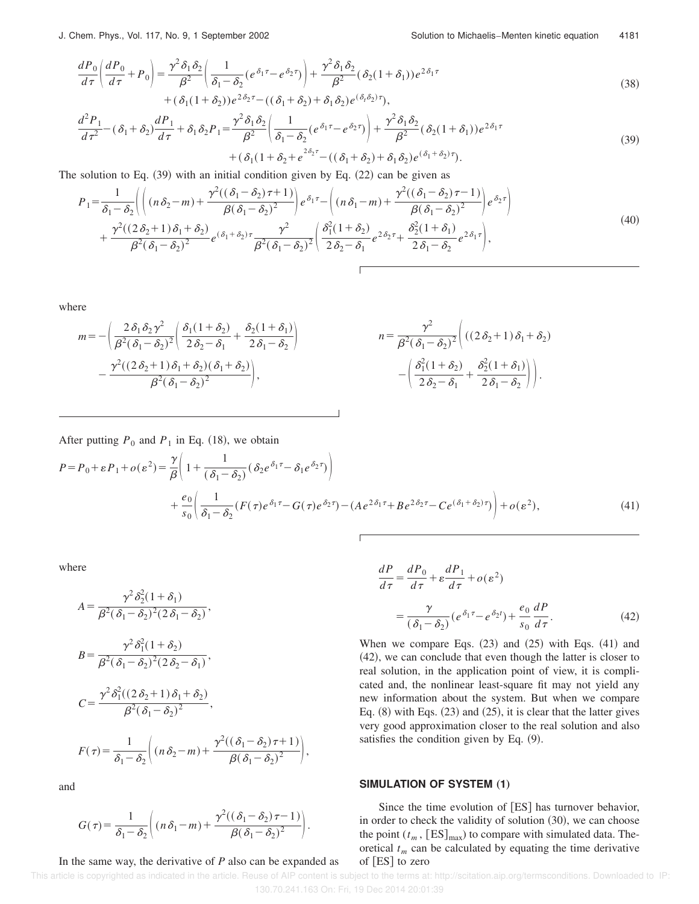$$
\frac{dP_0}{d\tau} \left( \frac{dP_0}{d\tau} + P_0 \right) = \frac{\gamma^2 \delta_1 \delta_2}{\beta^2} \left( \frac{1}{\delta_1 - \delta_2} \left( e^{\delta_1 \tau} - e^{\delta_2 \tau} \right) \right) + \frac{\gamma^2 \delta_1 \delta_2}{\beta^2} (\delta_2 (1 + \delta_1)) e^{2\delta_1 \tau} + (\delta_1 (1 + \delta_2)) e^{2\delta_2 \tau} - ((\delta_1 + \delta_2) + \delta_1 \delta_2) e^{(\delta_1 \delta_2) \tau}),
$$
\n(38)

$$
\frac{d^2P_1}{d\tau^2} - (\delta_1 + \delta_2)\frac{dP_1}{d\tau} + \delta_1\delta_2P_1 = \frac{\gamma^2\delta_1\delta_2}{\beta^2} \left(\frac{1}{\delta_1 - \delta_2}(e^{\delta_1\tau} - e^{\delta_2\tau})\right) + \frac{\gamma^2\delta_1\delta_2}{\beta^2}(\delta_2(1+\delta_1))e^{2\delta_1\tau} + (\delta_1(1+\delta_2+e^{2\delta_2\tau} - ((\delta_1+\delta_2)+\delta_1\delta_2)e^{(\delta_1+\delta_2)\tau}).
$$
\n(39)

The solution to Eq.  $(39)$  with an initial condition given by Eq.  $(22)$  can be given as

$$
P_1 = \frac{1}{\delta_1 - \delta_2} \left( \left( (n\delta_2 - m) + \frac{\gamma^2 ((\delta_1 - \delta_2)\tau + 1)}{\beta (\delta_1 - \delta_2)^2} \right) e^{\delta_1 \tau} - \left( (n\delta_1 - m) + \frac{\gamma^2 ((\delta_1 - \delta_2)\tau - 1)}{\beta (\delta_1 - \delta_2)^2} \right) e^{\delta_2 \tau} \right) + \frac{\gamma^2 ((2\delta_2 + 1)\delta_1 + \delta_2)}{\beta^2 (\delta_1 - \delta_2)^2} e^{(\delta_1 + \delta_2) \tau} \frac{\gamma^2}{\beta^2 (\delta_1 - \delta_2)^2} \left( \frac{\delta_1^2 (1 + \delta_2)}{2\delta_2 - \delta_1} e^{2\delta_2 \tau} + \frac{\delta_2^2 (1 + \delta_1)}{2\delta_1 - \delta_2} e^{2\delta_1 \tau} \right),
$$
\n
$$
(40)
$$

where

$$
m = -\left(\frac{2\delta_1\delta_2\gamma^2}{\beta^2(\delta_1 - \delta_2)^2}\left(\frac{\delta_1(1+\delta_2)}{2\delta_2 - \delta_1} + \frac{\delta_2(1+\delta_1)}{2\delta_1 - \delta_2}\right)\right)
$$
\n
$$
n = \frac{\gamma^2}{\beta^2(\delta_1 - \delta_2)^2}\left((2\delta_2 + 1)\delta_1 + \delta_2\right)
$$
\n
$$
n = \frac{\gamma^2}{\beta^2(\delta_1 - \delta_2)^2}\left((2\delta_2 + 1)\delta_1 + \delta_2\right)
$$
\n
$$
n = \frac{\gamma^2}{\beta^2(\delta_1 - \delta_2)^2}\left((2\delta_2 + 1)\delta_1 + \delta_2\right)
$$
\n
$$
n = \frac{\gamma^2}{\beta^2(\delta_1 - \delta_2)^2}\left((2\delta_2 + 1)\delta_1 + \delta_2\right)
$$

After putting  $P_0$  and  $P_1$  in Eq. (18), we obtain

$$
P = P_0 + \varepsilon P_1 + o(\varepsilon^2) = \frac{\gamma}{\beta} \left( 1 + \frac{1}{(\delta_1 - \delta_2)} (\delta_2 e^{\delta_1 \tau} - \delta_1 e^{\delta_2 \tau}) \right)
$$
  
+ 
$$
\frac{e_0}{s_0} \left( \frac{1}{\delta_1 - \delta_2} (F(\tau) e^{\delta_1 \tau} - G(\tau) e^{\delta_2 \tau}) - (A e^{2\delta_1 \tau} + B e^{2\delta_2 \tau} - C e^{(\delta_1 + \delta_2) \tau}) \right) + o(\varepsilon^2),
$$
 (41)

where

$$
A = \frac{\gamma^2 \delta_2^2 (1 + \delta_1)}{\beta^2 (\delta_1 - \delta_2)^2 (2 \delta_1 - \delta_2)},
$$
  
\n
$$
B = \frac{\gamma^2 \delta_1^2 (1 + \delta_2)}{\beta^2 (\delta_1 - \delta_2)^2 (2 \delta_2 - \delta_1)},
$$
  
\n
$$
C = \frac{\gamma^2 \delta_1^2 ((2 \delta_2 + 1) \delta_1 + \delta_2)}{\beta^2 (\delta_1 - \delta_2)^2},
$$
  
\n
$$
F(\tau) = \frac{1}{\delta_1 - \delta_2} \Biggl( (n \delta_2 - m) + \frac{\gamma^2 ((\delta_1 - \delta_2) \tau + 1)}{\beta (\delta_1 - \delta_2)^2} \Biggr),
$$

and

$$
G(\tau) = \frac{1}{\delta_1 - \delta_2} \left( (n \delta_1 - m) + \frac{\gamma^2 ((\delta_1 - \delta_2) \tau - 1)}{\beta (\delta_1 - \delta_2)^2} \right).
$$

#### In the same way, the derivative of *P* also can be expanded as

$$
\frac{dP}{d\tau} = \frac{dP_0}{d\tau} + \varepsilon \frac{dP_1}{d\tau} + o(\varepsilon^2)
$$

$$
= \frac{\gamma}{(\delta_1 - \delta_2)} (e^{\delta_1 \tau} - e^{\delta_2 t}) + \frac{e_0}{s_0} \frac{dP}{d\tau}.
$$
(42)

When we compare Eqs.  $(23)$  and  $(25)$  with Eqs.  $(41)$  and  $(42)$ , we can conclude that even though the latter is closer to real solution, in the application point of view, it is complicated and, the nonlinear least-square fit may not yield any new information about the system. But when we compare Eq.  $(8)$  with Eqs.  $(23)$  and  $(25)$ , it is clear that the latter gives very good approximation closer to the real solution and also satisfies the condition given by Eq.  $(9)$ .

### **SIMULATION OF SYSTEM (1)**

Since the time evolution of  $[ES]$  has turnover behavior, in order to check the validity of solution  $(30)$ , we can choose the point  $(t_m, [ES]_{max})$  to compare with simulated data. Theoretical  $t_m$  can be calculated by equating the time derivative of  $[ES]$  to zero

 This article is copyrighted as indicated in the article. Reuse of AIP content is subject to the terms at: http://scitation.aip.org/termsconditions. Downloaded to IP: 130.70.241.163 On: Fri, 19 Dec 2014 20:01:39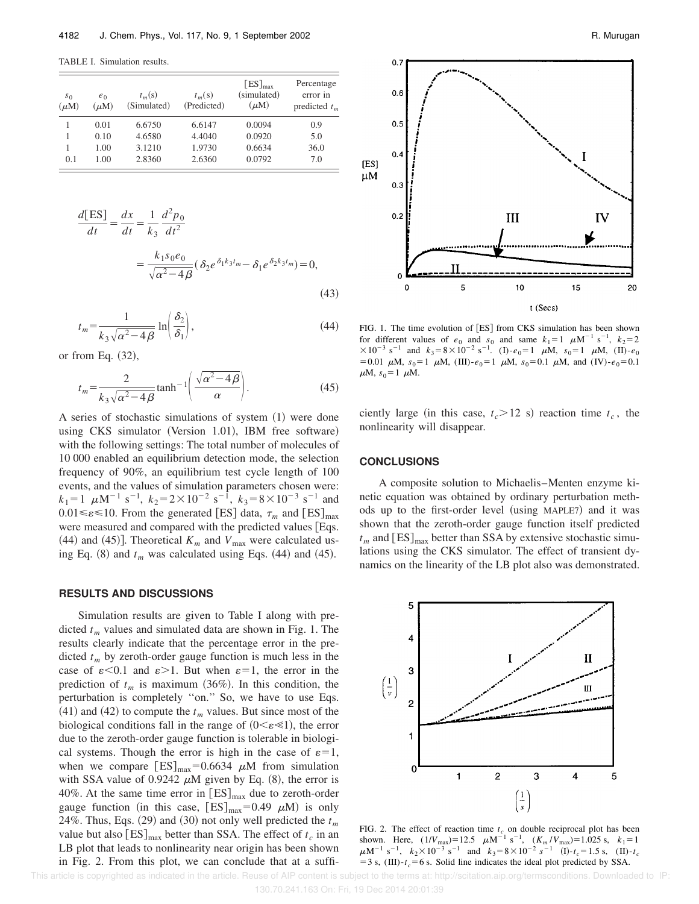TABLE I. Simulation results.

| s <sub>0</sub><br>$(\mu M)$ | $e_0$<br>$(\mu M)$ | $t_m(s)$<br>(Simulated) | $t_m(s)$<br>(Predicted) | $[ES]_{max}$<br>(simulated)<br>$(\mu M)$ | Percentage<br>error in<br>predicted $t_m$ |
|-----------------------------|--------------------|-------------------------|-------------------------|------------------------------------------|-------------------------------------------|
|                             | 0.01               | 6.6750                  | 6.6147                  | 0.0094                                   | 0.9                                       |
| 1                           | 0.10               | 4.6580                  | 4.4040                  | 0.0920                                   | 5.0                                       |
| 1                           | 1.00               | 3.1210                  | 1.9730                  | 0.6634                                   | 36.0                                      |
| 0.1                         | 1.00               | 2.8360                  | 2.6360                  | 0.0792                                   | 7.0                                       |

$$
\frac{d[ES]}{dt} = \frac{dx}{dt} = \frac{1}{k_3} \frac{d^2 p_0}{dt^2}
$$

$$
= \frac{k_1 s_0 e_0}{\sqrt{\alpha^2 - 4\beta}} (\delta_2 e^{\delta_1 k_3 t_m} - \delta_1 e^{\delta_2 k_3 t_m}) = 0,
$$
(43)

$$
t_m = \frac{1}{k_3 \sqrt{\alpha^2 - 4\beta}} \ln \left( \frac{\delta_2}{\delta_1} \right),\tag{44}
$$

or from Eq.  $(32)$ ,

$$
t_m = \frac{2}{k_3 \sqrt{\alpha^2 - 4\beta}} \tanh^{-1} \left( \frac{\sqrt{\alpha^2 - 4\beta}}{\alpha} \right).
$$
 (45)

A series of stochastic simulations of system  $(1)$  were done using CKS simulator (Version 1.01), IBM free software) with the following settings: The total number of molecules of 10 000 enabled an equilibrium detection mode, the selection frequency of 90%, an equilibrium test cycle length of 100 events, and the values of simulation parameters chosen were:  $k_1 = 1 \mu M^{-1} s^{-1}$ ,  $k_2 = 2 \times 10^{-2} s^{-1}$ ,  $k_3 = 8 \times 10^{-3} s^{-1}$  and  $0.01 \le \varepsilon \le 10$ . From the generated [ES] data,  $\tau_m$  and [ES]<sub>max</sub> were measured and compared with the predicted values [Eqs. (44) and (45)]. Theoretical  $K_m$  and  $V_{\text{max}}$  were calculated using Eq.  $(8)$  and  $t_m$  was calculated using Eqs.  $(44)$  and  $(45)$ .

#### **RESULTS AND DISCUSSIONS**

Simulation results are given to Table I along with predicted *t<sup>m</sup>* values and simulated data are shown in Fig. 1. The results clearly indicate that the percentage error in the predicted  $t_m$  by zeroth-order gauge function is much less in the case of  $\varepsilon$ <0.1 and  $\varepsilon$ >1. But when  $\varepsilon$ =1, the error in the prediction of  $t_m$  is maximum  $(36\%)$ . In this condition, the perturbation is completely ''on.'' So, we have to use Eqs.  $(41)$  and  $(42)$  to compute the  $t_m$  values. But since most of the biological conditions fall in the range of  $(0 \lt \varepsilon \ll 1)$ , the error due to the zeroth-order gauge function is tolerable in biological systems. Though the error is high in the case of  $\varepsilon=1$ , when we compare  $[ES]_{max}=0.6634 \mu M$  from simulation with SSA value of 0.9242  $\mu$ M given by Eq. (8), the error is 40%. At the same time error in  $[ES]_{max}$  due to zeroth-order gauge function (in this case,  $[ES]_{max} = 0.49 \mu M$ ) is only 24%. Thus, Eqs.  $(29)$  and  $(30)$  not only well predicted the  $t_m$ value but also  $[ES]_{max}$  better than SSA. The effect of  $t_c$  in an LB plot that leads to nonlinearity near origin has been shown in Fig. 2. From this plot, we can conclude that at a suffi-



FIG. 1. The time evolution of [ES] from CKS simulation has been shown for different values of  $e_0$  and  $s_0$  and same  $k_1 = 1$   $\mu$ M<sup>-1</sup> s<sup>-1</sup>,  $k_2 = 2$  $\times 10^{-3}$  s<sup>-1</sup> and  $k_3 = 8 \times 10^{-2}$  s<sup>-1</sup>. (I)- $e_0 = 1$   $\mu$ M,  $s_0 = 1$   $\mu$ M, (II)- $e_0$ = 0.01  $\mu$ M,  $s_0$  = 1  $\mu$ M, (III)- $e_0$  = 1  $\mu$ M,  $s_0$  = 0.1  $\mu$ M, and (IV)- $e_0$  = 0.1  $\mu$ M,  $s_0 = 1$   $\mu$ M.

ciently large (in this case,  $t_c > 12$  s) reaction time  $t_c$ , the nonlinearity will disappear.

#### **CONCLUSIONS**

 $)$ 

A composite solution to Michaelis–Menten enzyme kinetic equation was obtained by ordinary perturbation methods up to the first-order level (using MAPLE7) and it was shown that the zeroth-order gauge function itself predicted  $t_m$  and  $[ES]_{max}$  better than SSA by extensive stochastic simulations using the CKS simulator. The effect of transient dynamics on the linearity of the LB plot also was demonstrated.



FIG. 2. The effect of reaction time  $t_c$  on double reciprocal plot has been shown. Here,  $(1/V_{\text{max}})=12.5 \mu M^{-1} s^{-1}$ ,  $(K_m/V_{\text{max}})=1.025 s$ ,  $k_1=1$  $\mu$ M<sup>-1</sup> s<sup>-1</sup>,  $k_2 \times 10^{-3}$  s<sup>-1</sup> and  $k_3 = 8 \times 10^{-2}$  s<sup>-1</sup> (I)- $t_c = 1.5$  s, (II)- $t_c$  $=$  3 s, (III)- $t_c$  = 6 s. Solid line indicates the ideal plot predicted by SSA.